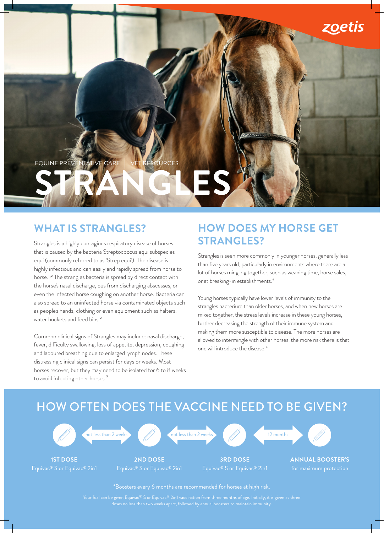

### **WHAT IS STRANGLES?**

Strangles is a highly contagious respiratory disease of horses that is caused by the bacteria Streptococcus equi subspecies equi (commonly referred to as 'Strep equi'). The disease is highly infectious and can easily and rapidly spread from horse to horse.1 ,2 The strangles bacteria is spread by direct contact with the horse's nasal discharge, pus from discharging abscesses, or even the infected horse coughing on another horse. Bacteria can also spread to an uninfected horse via contaminated objects such as people's hands, clothing or even equipment such as halters, water buckets and feed bins.<sup>2</sup>

Common clinical signs of Strangles may include: nasal discharge, fever, difficulty swallowing, loss of appetite, depression, coughing and laboured breathing due to enlarged lymph nodes. These distressing clinical signs can persist for days or weeks. Most horses recover, but they may need to be isolated for 6 to 8 weeks to avoid infecting other horses.<sup>3</sup>

### **HOW DOES MY HORSE GET STRANGLES?**

Strangles is seen more commonly in younger horses, generally less than five years old, particularly in environments where there are a lot of horses mingling together, such as weaning time, horse sales, or at breaking-in establishments.4

Young horses typically have lower levels of immunity to the strangles bacterium than older horses, and when new horses are mixed together, the stress levels increase in these young horses, further decreasing the strength of their immune system and making them more susceptible to disease. The more horses are allowed to intermingle with other horses, the more risk there is that one will introduce the disease.4

## HOW OFTEN DOES THE VACCINE NEED TO BE GIVEN?



\*Boosters every 6 months are recommended for horses at high risk.

Your foal can be given Equivac® S or Equivac® 2in1 vaccination from three months of age. Initially, it is given as three